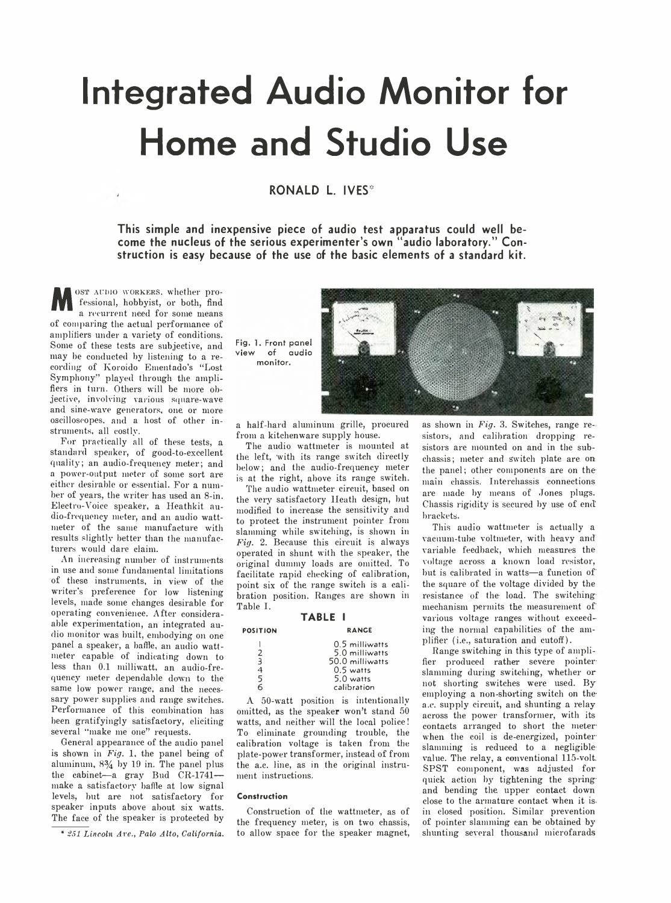# **Integrated Audio Monitor for Home and Studio Use**

## **RONALD L. IVES\***

**This simple and inexpensive piece of audio test apparatus could well become the nucleus of the serious experimenter's own "audio laboratory." Construction is easy because of the use of the basic elements of a standard kit.**

M OST AUDIO WORKERS, whether pro-<br>fessional, hobbyist, or both, find<br>a recurrent need for some means<br>of comparing the actual performance of OST AUDIO WORKERS, whether professional, hobbyist, or both, find a recurrent need for some means amplifiers under a variety of conditions. Some of these tests are subjective, and may be conducted by listening to a recording of Koroido Ementado's "Lost Symphony'' played through the amplifiers in turn. Others will be more objective, involving various square-wave and sine-wave generators, one or more oscilloscopes, and a host of other instruments, all costly.

For practically all of these tests, a standard speaker, of good-to-excellent quality; an audio-frequency meter; and a power-output meter of some sort are either desirable or essential. For a number of years, the writer has used an 8-in. Electro-Voice speaker, a Heathkit audio-frequency meter, and an audio wattmeter of the same manufacture with results slightly better than the manufacturers would dare claim.

An increasing number of instruments in use and some fundamental limitations of these instruments, in view of the writer's preference for low listening levels, made some changes desirable for operating convenience. After consideraable experimentation, an integrated audio monitor was built, embodying on one panel a speaker, a baffle, an audio wattmeter capable of indicating down to less than 0.1 milliwatt, an audio-frequency meter dependable down to the same low power range, and the necessary power supplies and range switches. Performance of this combination has been gratifyingly satisfactory, eliciting several "make me one" requests.

General appearance of the audio panel is shown in *Fig.* 1, the panel being of aluminum,  $8\frac{3}{4}$  by 19 in. The panel plus the cabinet—a gray Bud CR-1741 make a satisfactory baffle at low signal levels, but are not satisfactory for speaker inputs above about six watts. The face of the speaker is protected by

\* *SSI Lincoln Are., Palo Alto, California.*

Fig. 1. Front panel view of audio monitor.



a half-hard aluminum grille, procured from a kitchenware supply house.

The audio wattmeter is mounted at the left, with its range switch directly below; and the audio-frequency meter is at the right, above its range switch.

The audio wattmeter circuit, based on the very satisfactory Heath design, but modified to increase the sensitivity and to protect the instrument pointer from slamming while switching, is shown in *Fig.* 2. Because this circuit is always operated in shunt with the speaker, the original dummy loads are omitted. To facilitate rapid checking of calibration, point six of the range switch is a calibration position. Ranges are shown in Table I.

#### **TABLE I**

| <b>POSITION</b>                   | <b>RANGE</b>                                                                                   |
|-----------------------------------|------------------------------------------------------------------------------------------------|
| $\mathcal{I}$<br>3<br>4<br>5<br>б | 0.5 milliwatts<br>5.0 milliwatts<br>50.0 milliwatts<br>$0.5$ watts<br>5.0 watts<br>calibration |
|                                   |                                                                                                |

A 50-watt position is intentionally omitted, as the speaker won't stand 50 watts, and neither will the local police! To eliminate grounding trouble, the calibration voltage is taken from the plate-power transformer, instead of from the a.c. line, as in the original instrument instructions.

#### **Construction**

Construction of the wattmeter, as of the frequency meter, is on two chassis, to allow space for the speaker magnet, as shown in *Fig.* 3. Switches, range resistors, and calibration dropping resistors are mounted on and in the subchassis; meter and Switch plate are on the panel; other components are on themain chassis. Interchassis connections are made by means of Jones plugs. Chassis rigidity is secured by use of end brackets.

This audio wattmeter is actually a vacuum-tube voltmeter, with heavy and variable feedback, which measures the voltage across a known load resistor, but is calibrated in watts-a function of the square of the voltage divided by the resistance of the- load. The switching mechanism permits the measurement of' various voltage ranges without exceeding the normal capabilities of the amplifier (i.e., saturation and cutoff).

Range switching in this type of amplifier produced rather severe pointerslamming during switching, whether or not shorting switches were used. By employing a non-shorting switch on thea.c. supply circuit, and shunting a relay across the power transformer, with its contacts arranged to short the meter when the coil is de-energized, pointerslamming is reduced to a negligiblevalue. The relay, a conventional 115-volt. SPST component, was adjusted for quick action by tightening the springand bending the upper contact down close to the armature contact when it isin closed position. Similar prevention of pointer slamming can be obtained by shunting several thousand microfarads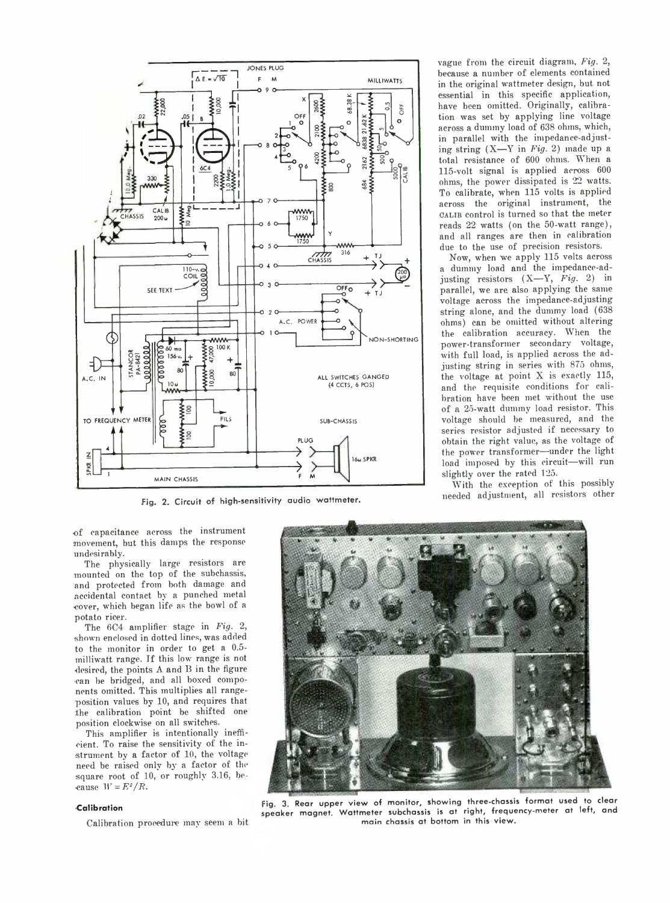

Fig. 2. Circuit of high-sensitivity audio wattmeter.

of capacitance across the instrument movement, but this damps the response undesirably.

The physically large resistors are mounted on the top of the subchassis, and protected from both damage and accidental contact by a punched metal cover, which began life as the bowl of a potato ricer.

The 6C4 amplifier stage in *Fig.* 2, shown enclosed in dotted lines, was added to the monitor in order to get a 0.5 milliwatt range. If this low range is not desired, the points A and B in the figure can be bridged, and all boxed components omitted. This multiplies all rangeposition values by 10, and requires that the calibration point be shifted one position clockwise on all switches.

This amplifier is intentionally inefficient. To raise the sensitivity of the instrument by a factor of 10, the voltage need be raised only by a factor of the square root of 10, or roughly 3.16, because  $W = E^2/R$ .

#### **■Calibration**

Calibration procedure may seem a bit

vague from the circuit diagram, *Fig.* 2, because a number of elements contained in the original wattmeter design, but not essential in this specific application, have been omitted. Originally, calibration was set by applying line voltage across a dummy load of 638 ohms, which, in parallel with the impedance-adjusting string (X — Y in *Fig.* 2) made up a total resistance of 600 ohms. When a 115-volt signal is applied across 600 ohms, the power dissipated is 22 watts. To calibrate, when 115 volts is applied across the original instrument, the OALIB control is turned so that the meter reads 22 watts (on the 50-watt range), and all ranges are then in calibration due to the use of precision resistors.

Now, when we apply 115 volts across a dummy load and the impedance-adjusting resistors  $(X-Y, Fig. 2)$  in parallel, we are also applying the same voltage across the impedance-adjusting string alone, and the dummy load (638 ohms) can be omitted without altering the calibration accuracy. When the power-transformer secondary voltage, with full load, is applied across the adjusting string in series with 875 ohms, the voltage at point X is exactly 115, and the requisite conditions for calibration have been met without the use of a 25-watt dummy load resistor. This voltage should be measured, and the series resistor adjusted if necessary to obtain the right value, as the voltage of the power transformer—under the light load imposed by this circuit-will run slightly over the rated 125.

With the exception of this possibly needed adjustment, all resistors other



**: ig. 3. Rear upper view of monitor, showing three-chassis format used to clear ipeaker magnet. W attmeter subchassis is at right, frequency-meter at left, and main chassis at bottom in this view .**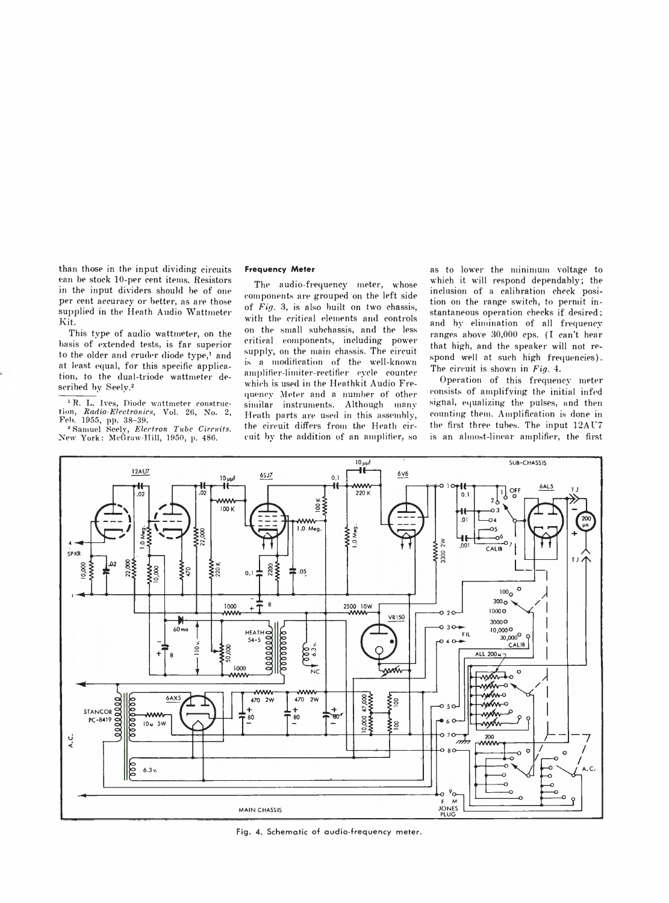than those in the input dividing circuits can be stock 10-per cent items. Resistors in the input dividers should be of one per cent accuracy or better, as are those supplied in the Heath Audio Wattmeter Kit.

This type of audio wattmeter, on the basis of extended tests, is far superior to the older and cruder diode type,<sup>1</sup> and at least equal, for this specific application, to the dual-triode wattmeter described by Seely.2

<sup>1</sup>R. L. Ives, Diode wattmeter construction, *Radio-Electronics, Vol. 26, No. 2,*<br>Feb. 1955, pp. 38–39.

3 Samuel Seelv, *Electron Tube Circuits.* New York: McGraw-Hill, 1950, p. 486.

#### **Frequency Meter**

The audio-frequency meter, whose components are grouped on the left side of *Fig.* 3, is also built on two chassis, with the critical elements and controls on the small subchassis, and the less critical components, including power supply, on the main chassis. The circuit is a modification of the well-known amplifier-limiter-rectifier cycle counter which is used in the Heathkit Audio Frequency Meter and a number of other similar instruments. Although many Heath parts are used in this assembly, the circuit differs from the Heath circuit by the addition of an amplifier, so

as to lower the minimum voltage to which it will respond dependably; the inclusion of a calibration check position on the range switch, to permit instantaneous operation checks if desired; and bv elimination of all frequencyranges above 30,000 cps. (I can't hear that high, and the speaker will not respond well at such high frequencies). The circuit is shown in *Fig.* 4.

Operation of this frequency meter consists of amplifying the initial infed signal, equalizing the pulses, and then counting them. Amplification is done in the first three tubes. The input 12AU7 is an almost-linear amplifier, the first



**Fig. 4. Schematic of audio-frequency meter.**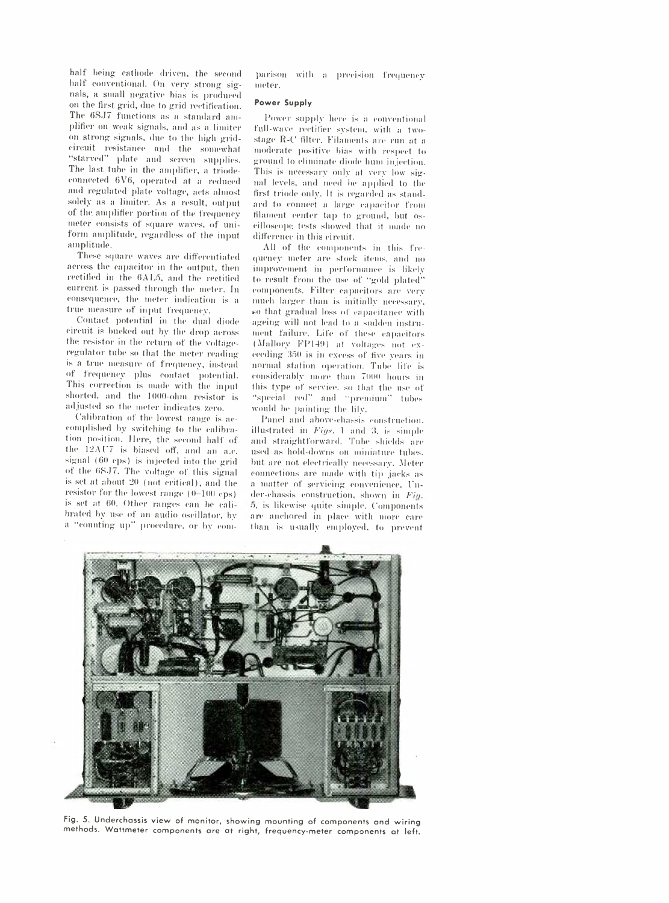half being- cathode driven, the second half conventional. On very strong signals, a small negative bias is produced on the first grid, due to grid rectification. The 6SJ7 functions as a standard amplifier on weak signals, and as a limiter on strong signals, due to the high gridcircuit resistance and the somewhat "starved" plate and screen supplies. The last tube in the amplifier, a triodeconnected 6V6, operated at a reduced and regulated plate voltage, acts almost solely as a limiter. As a result, output of the. amplifier portion of the frequency meter consists of square waves, of uniform amplitude, regardless of the input amplitude.

These square waves are differentiated across the capacitor in the output, then rectified in the 6AL5, and the rectified current is passed through the meter. In consequence, the meter indication is a true measure of input frequency.

Contact potential in the dual diode circuit is bucked out by the drop across the resistor in the return of the voltageregulator tube so that the meter reading is a true measure of frequency, instead of frequency plus contact potential. This correction is made with the input shorted, and the 1000-ohm resistor is adjusted so the meter indicates zero.

Calibration of the lowest range is accomplished by switching to the calibration position. Here, the second half of the 12AC7 is biased off, and an a.c. signal (60 eps) is injected into the grid of the 6R.J7. The voltage of this signal is set at about 20 (not critical), and the resistor for the lowest range (0—100 cps) is set at 60. Other ranges can be calibrated by use of an audio oscillator, by a " counting up" procedure, or by comparison with a precision frequency meter.

### **Power Supply**

Power supply here is a conventional full-wave rectifier system, with a twostage R-C filter. Filaments are run at a moderate positive bias with respect to ground to eliminate diode hum injection. This is necessary only at very low signal levels, and need be applied to the first triode only. It is regarded as standard to connect a large capacitor from filament center tap to ground, but oscilloscope. tests showed that it made no difference in this circuit.

All of the components in this frequency meter are stock items, and no improvement, in performance is likely to result from the use of "gold plated" components. Filter capacitors are very much larger than is initially necessary, so that gradual loss of capacitance with ageing will not lead to a sudden instrument failure. Life of these capacitors  $(Mallory FPI49)$  at voltages not exceeding 350 is in excess of five years in normal station operation. Tube life is considerably more than 7000 hours in this type of service, so that the use of " special red" and " premium" tubes would be painting the lily.

Panel and above-chassis construction, illustrated in *Figs.* 1 and 3, is simple and straightforward. Tube shields are used as hold-downs on miniature tubes, but are not electrically necessary. Meter connections arc made with tip jacks as a matter of servicing convenience. Fnder-chassis construction, shown in *Fig.* 5, is likewise quite simple. Components are anchored in place with more care than is usually employed, to prevent



**Fig. 5. Underchassis view of monitor, showing mounting of components and wiring methods. Wattmeter components are at right, frequency-meter components at left.**